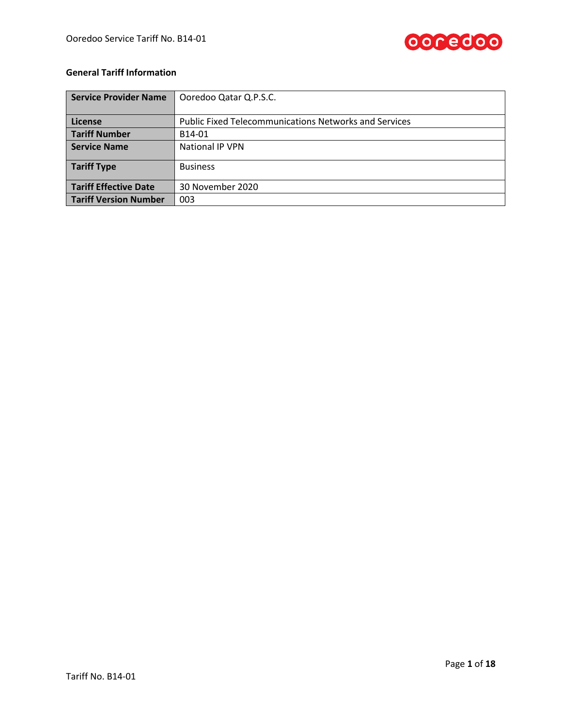

# **General Tariff Information**

| <b>Service Provider Name</b> | Ooredoo Qatar Q.P.S.C.                                       |  |
|------------------------------|--------------------------------------------------------------|--|
|                              |                                                              |  |
| License                      | <b>Public Fixed Telecommunications Networks and Services</b> |  |
| <b>Tariff Number</b>         | B14-01                                                       |  |
| <b>Service Name</b>          | National IP VPN                                              |  |
| <b>Tariff Type</b>           | <b>Business</b>                                              |  |
| <b>Tariff Effective Date</b> | 30 November 2020                                             |  |
| <b>Tariff Version Number</b> | 003                                                          |  |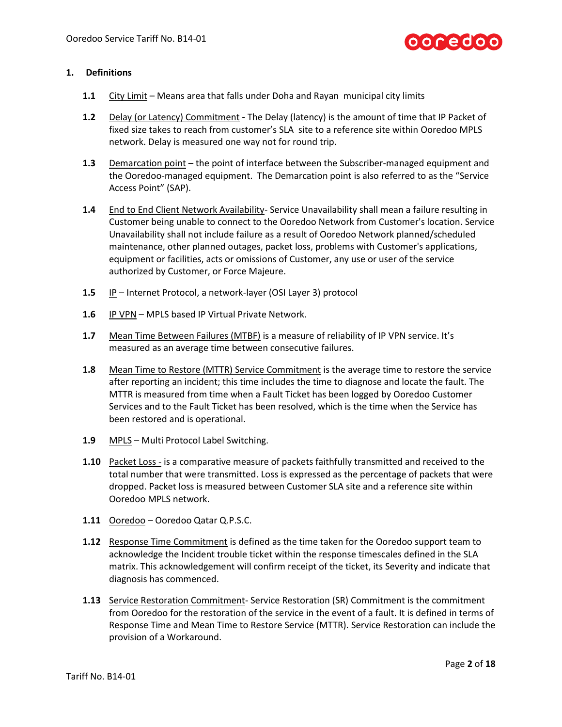

#### **1. Definitions**

- **1.1** City Limit Means area that falls under Doha and Rayan municipal city limits
- **1.2** Delay (or Latency) Commitment **-** The Delay (latency) is the amount of time that IP Packet of fixed size takes to reach from customer's SLA site to a reference site within Ooredoo MPLS network. Delay is measured one way not for round trip.
- **1.3** Demarcation point the point of interface between the Subscriber-managed equipment and the Ooredoo-managed equipment. The Demarcation point is also referred to as the "Service Access Point" (SAP).
- **1.4** End to End Client Network Availability- Service Unavailability shall mean a failure resulting in Customer being unable to connect to the Ooredoo Network from Customer's location. Service Unavailability shall not include failure as a result of Ooredoo Network planned/scheduled maintenance, other planned outages, packet loss, problems with Customer's applications, equipment or facilities, acts or omissions of Customer, any use or user of the service authorized by Customer, or Force Majeure.
- **1.5** IP Internet Protocol, a network-layer (OSI Layer 3) protocol
- **1.6** IP VPN MPLS based IP Virtual Private Network.
- **1.7** Mean Time Between Failures (MTBF) is a measure of reliability of IP VPN service. It's measured as an average time between consecutive failures.
- **1.8** Mean Time to Restore (MTTR) Service Commitment is the average time to restore the service after reporting an incident; this time includes the time to diagnose and locate the fault. The MTTR is measured from time when a Fault Ticket has been logged by Ooredoo Customer Services and to the Fault Ticket has been resolved, which is the time when the Service has been restored and is operational.
- **1.9** MPLS Multi Protocol Label Switching.
- **1.10** Packet Loss is a comparative measure of packets faithfully transmitted and received to the total number that were transmitted. Loss is expressed as the percentage of packets that were dropped. Packet loss is measured between Customer SLA site and a reference site within Ooredoo MPLS network.
- **1.11** Ooredoo Ooredoo Qatar Q.P.S.C.
- **1.12** Response Time Commitment is defined as the time taken for the Ooredoo support team to acknowledge the Incident trouble ticket within the response timescales defined in the SLA matrix. This acknowledgement will confirm receipt of the ticket, its Severity and indicate that diagnosis has commenced.
- **1.13** Service Restoration Commitment-Service Restoration (SR) Commitment is the commitment from Ooredoo for the restoration of the service in the event of a fault. It is defined in terms of Response Time and Mean Time to Restore Service (MTTR). Service Restoration can include the provision of a Workaround.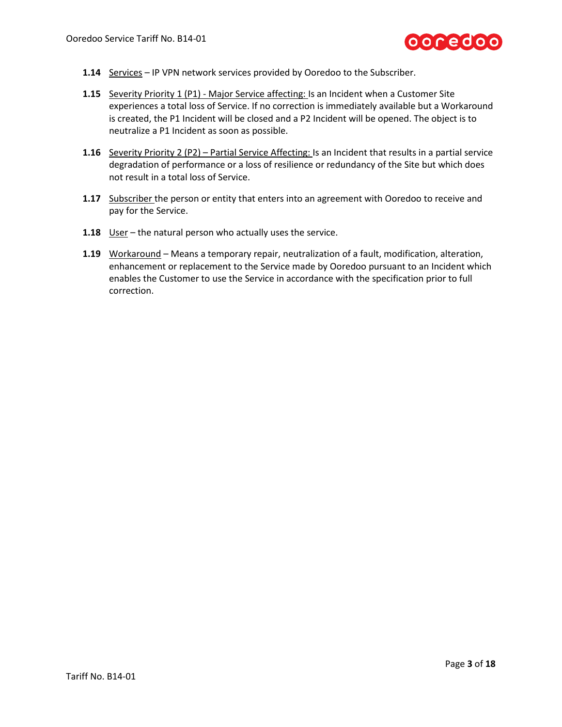

- **1.14** Services IP VPN network services provided by Ooredoo to the Subscriber.
- **1.15** Severity Priority 1 (P1) Major Service affecting: Is an Incident when a Customer Site experiences a total loss of Service. If no correction is immediately available but a Workaround is created, the P1 Incident will be closed and a P2 Incident will be opened. The object is to neutralize a P1 Incident as soon as possible.
- **1.16** Severity Priority 2 (P2) Partial Service Affecting: Is an Incident that results in a partial service degradation of performance or a loss of resilience or redundancy of the Site but which does not result in a total loss of Service.
- **1.17** Subscriber the person or entity that enters into an agreement with Ooredoo to receive and pay for the Service.
- **1.18** User the natural person who actually uses the service.
- **1.19** Workaround Means a temporary repair, neutralization of a fault, modification, alteration, enhancement or replacement to the Service made by Ooredoo pursuant to an Incident which enables the Customer to use the Service in accordance with the specification prior to full correction.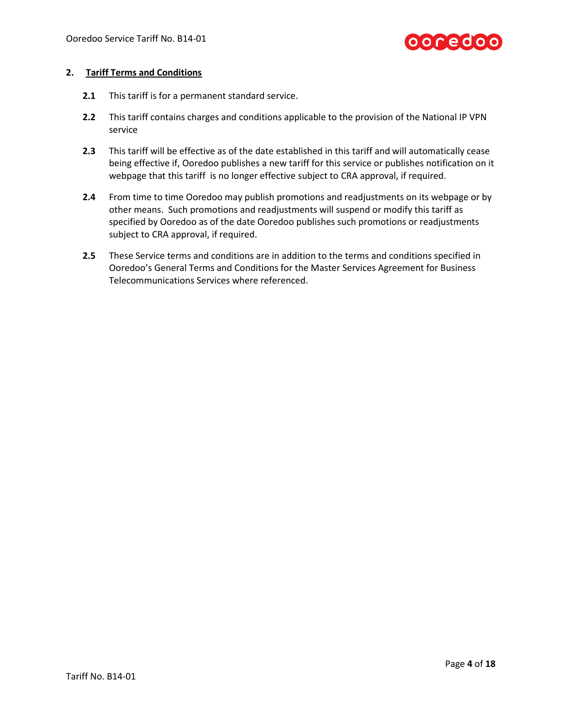

#### **2. Tariff Terms and Conditions**

- **2.1** This tariff is for a permanent standard service.
- **2.2** This tariff contains charges and conditions applicable to the provision of the National IP VPN service
- **2.3** This tariff will be effective as of the date established in this tariff and will automatically cease being effective if, Ooredoo publishes a new tariff for this service or publishes notification on it webpage that this tariff is no longer effective subject to CRA approval, if required.
- **2.4** From time to time Ooredoo may publish promotions and readjustments on its webpage or by other means. Such promotions and readjustments will suspend or modify this tariff as specified by Ooredoo as of the date Ooredoo publishes such promotions or readjustments subject to CRA approval, if required.
- **2.5** These Service terms and conditions are in addition to the terms and conditions specified in Ooredoo's General Terms and Conditions for the Master Services Agreement for Business Telecommunications Services where referenced.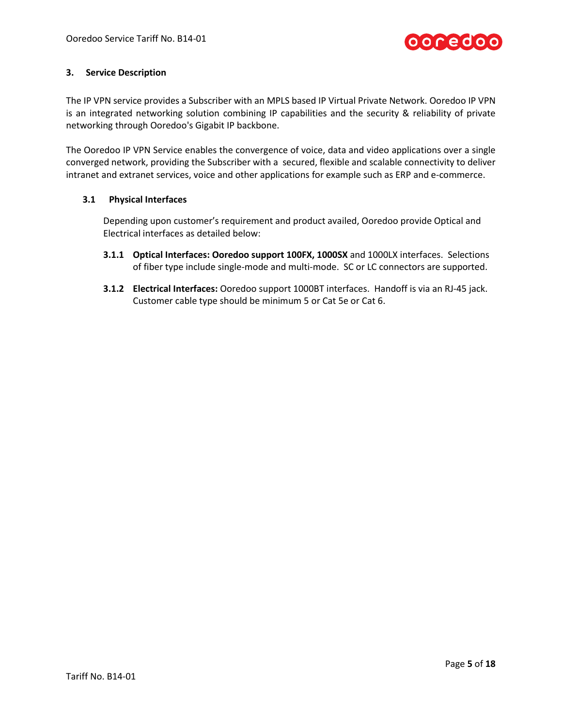

## **3. Service Description**

The IP VPN service provides a Subscriber with an MPLS based IP Virtual Private Network. Ooredoo IP VPN is an integrated networking solution combining IP capabilities and the security & reliability of private networking through Ooredoo's Gigabit IP backbone.

The Ooredoo IP VPN Service enables the convergence of voice, data and video applications over a single converged network, providing the Subscriber with a secured, flexible and scalable connectivity to deliver intranet and extranet services, voice and other applications for example such as ERP and e-commerce.

## **3.1 Physical Interfaces**

Depending upon customer's requirement and product availed, Ooredoo provide Optical and Electrical interfaces as detailed below:

- **3.1.1 Optical Interfaces: Ooredoo support 100FX, 1000SX** and 1000LX interfaces. Selections of fiber type include single-mode and multi-mode. SC or LC connectors are supported.
- **3.1.2 Electrical Interfaces:** Ooredoo support 1000BT interfaces. Handoff is via an RJ-45 jack. Customer cable type should be minimum 5 or Cat 5e or Cat 6.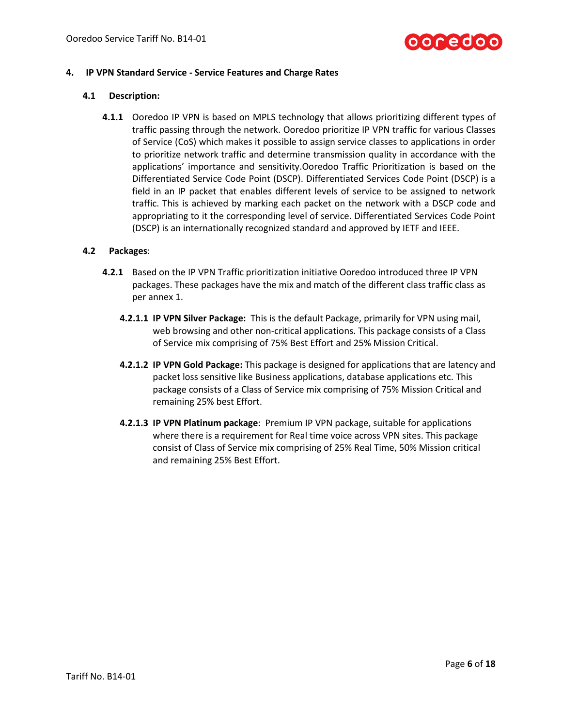

## **4. IP VPN Standard Service - Service Features and Charge Rates**

#### **4.1 Description:**

**4.1.1** Ooredoo IP VPN is based on MPLS technology that allows prioritizing different types of traffic passing through the network. Ooredoo prioritize IP VPN traffic for various Classes of Service (CoS) which makes it possible to assign service classes to applications in order to prioritize network traffic and determine transmission quality in accordance with the applications' importance and sensitivity.Ooredoo Traffic Prioritization is based on the Differentiated Service Code Point (DSCP). Differentiated Services Code Point (DSCP) is a field in an IP packet that enables different levels of service to be assigned to network traffic. This is achieved by marking each packet on the network with a DSCP code and appropriating to it the corresponding level of service. Differentiated Services Code Point (DSCP) is an internationally recognized standard and approved by IETF and IEEE.

## **4.2 Packages**:

- **4.2.1** Based on the IP VPN Traffic prioritization initiative Ooredoo introduced three IP VPN packages. These packages have the mix and match of the different class traffic class as per annex 1.
	- **4.2.1.1 IP VPN Silver Package:** This is the default Package, primarily for VPN using mail, web browsing and other non-critical applications. This package consists of a Class of Service mix comprising of 75% Best Effort and 25% Mission Critical.
	- **4.2.1.2 IP VPN Gold Package:** This package is designed for applications that are latency and packet loss sensitive like Business applications, database applications etc. This package consists of a Class of Service mix comprising of 75% Mission Critical and remaining 25% best Effort.
	- **4.2.1.3 IP VPN Platinum package**: Premium IP VPN package, suitable for applications where there is a requirement for Real time voice across VPN sites. This package consist of Class of Service mix comprising of 25% Real Time, 50% Mission critical and remaining 25% Best Effort.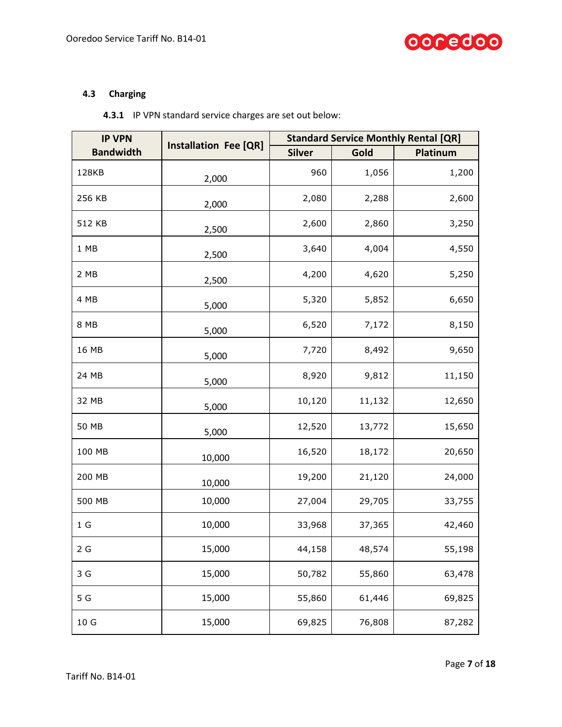

# <span id="page-6-0"></span>**4.3 Charging**

| 4.3.1 IP VPN standard service charges are set out below: |  |
|----------------------------------------------------------|--|
|----------------------------------------------------------|--|

| <b>IP VPN</b>    | <b>Installation Fee [QR]</b> | <b>Standard Service Monthly Rental [QR]</b> |        |          |
|------------------|------------------------------|---------------------------------------------|--------|----------|
| <b>Bandwidth</b> |                              | <b>Silver</b>                               | Gold   | Platinum |
| 128KB            | 2,000                        | 960                                         | 1,056  | 1,200    |
| 256 KB           | 2,000                        | 2,080                                       | 2,288  | 2,600    |
| 512 KB           | 2,500                        | 2,600                                       | 2,860  | 3,250    |
| 1 MB             | 2,500                        | 3,640                                       | 4,004  | 4,550    |
| 2 MB             | 2,500                        | 4,200                                       | 4,620  | 5,250    |
| 4 MB             | 5,000                        | 5,320                                       | 5,852  | 6,650    |
| 8 MB             | 5,000                        | 6,520                                       | 7,172  | 8,150    |
| 16 MB            | 5,000                        | 7,720                                       | 8,492  | 9,650    |
| 24 MB            | 5,000                        | 8,920                                       | 9,812  | 11,150   |
| 32 MB            | 5,000                        | 10,120                                      | 11,132 | 12,650   |
| 50 MB            | 5,000                        | 12,520                                      | 13,772 | 15,650   |
| 100 MB           | 10,000                       | 16,520                                      | 18,172 | 20,650   |
| 200 MB           | 10,000                       | 19,200                                      | 21,120 | 24,000   |
| 500 MB           | 10,000                       | 27,004                                      | 29,705 | 33,755   |
| 1 <sub>G</sub>   | 10,000                       | 33,968                                      | 37,365 | 42,460   |
| 2G               | 15,000                       | 44,158                                      | 48,574 | 55,198   |
| 3 G              | 15,000                       | 50,782                                      | 55,860 | 63,478   |
| 5 G              | 15,000                       | 55,860                                      | 61,446 | 69,825   |
| 10 G             | 15,000                       | 69,825                                      | 76,808 | 87,282   |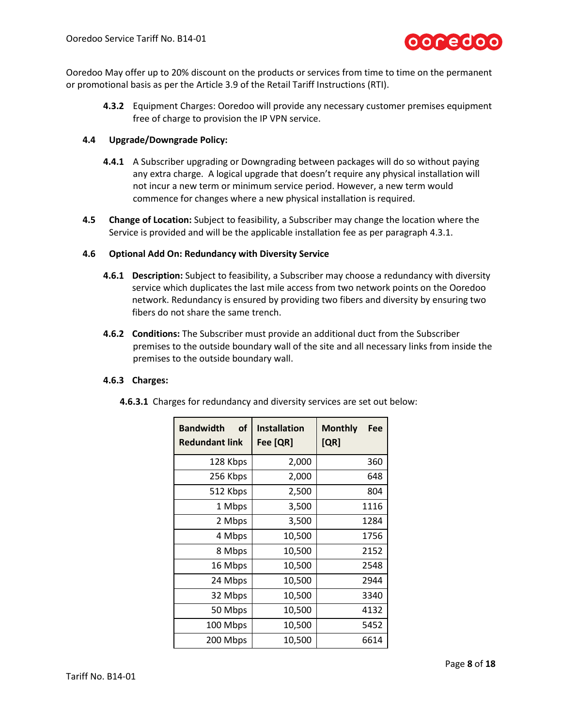

Ooredoo May offer up to 20% discount on the products or services from time to time on the permanent or promotional basis as per the Article 3.9 of the Retail Tariff Instructions (RTI).

**4.3.2** Equipment Charges: Ooredoo will provide any necessary customer premises equipment free of charge to provision the IP VPN service.

#### **4.4 Upgrade/Downgrade Policy:**

- **4.4.1** A Subscriber upgrading or Downgrading between packages will do so without paying any extra charge. A logical upgrade that doesn't require any physical installation will not incur a new term or minimum service period. However, a new term would commence for changes where a new physical installation is required.
- **4.5 Change of Location:** Subject to feasibility, a Subscriber may change the location where the Service is provided and will be the applicable installation fee as per paragraph 4.3.1.

#### **4.6 Optional Add On: Redundancy with Diversity Service**

- **4.6.1 Description:** Subject to feasibility, a Subscriber may choose a redundancy with diversity service which duplicates the last mile access from two network points on the Ooredoo network. Redundancy is ensured by providing two fibers and diversity by ensuring two fibers do not share the same trench.
- **4.6.2 Conditions:** The Subscriber must provide an additional duct from the Subscriber premises to the outside boundary wall of the site and all necessary links from inside the premises to the outside boundary wall.

#### **4.6.3 Charges:**

| οf<br><b>Bandwidth</b><br><b>Redundant link</b> | <b>Installation</b><br>Fee [QR] | <b>Monthly</b><br>Fee<br>[QR] |
|-------------------------------------------------|---------------------------------|-------------------------------|
| 128 Kbps                                        | 2,000                           | 360                           |
| 256 Kbps                                        | 2,000                           | 648                           |
| 512 Kbps                                        | 2,500                           | 804                           |
| 1 Mbps                                          | 3,500                           | 1116                          |
| 2 Mbps                                          | 3,500                           | 1284                          |
| 4 Mbps                                          | 10,500                          | 1756                          |
| 8 Mbps                                          | 10,500                          | 2152                          |
| 16 Mbps                                         | 10,500                          | 2548                          |
| 24 Mbps                                         | 10,500                          | 2944                          |
| 32 Mbps                                         | 10,500                          | 3340                          |
| 50 Mbps                                         | 10,500                          | 4132                          |
| 100 Mbps                                        | 10,500                          | 5452                          |
| 200 Mbps                                        | 10,500                          | 6614                          |

**4.6.3.1** Charges for redundancy and diversity services are set out below: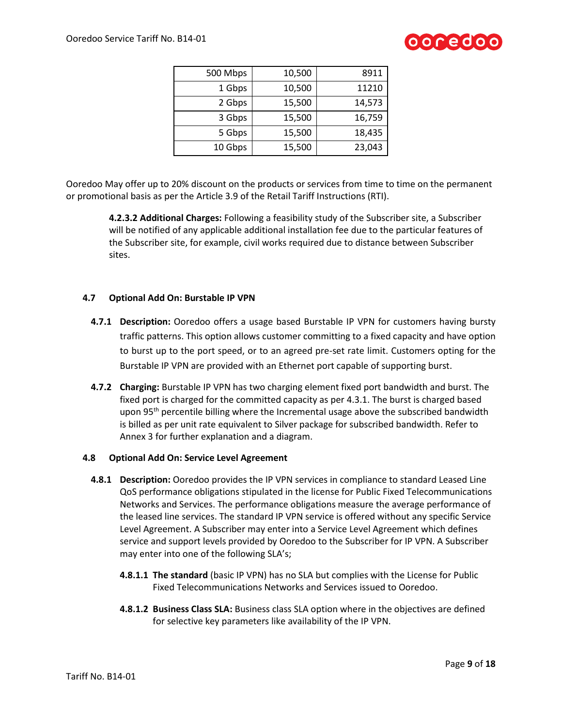

| 500 Mbps | 10,500 | 8911   |
|----------|--------|--------|
| 1 Gbps   | 10,500 | 11210  |
| 2 Gbps   | 15,500 | 14,573 |
| 3 Gbps   | 15,500 | 16,759 |
| 5 Gbps   | 15,500 | 18,435 |
| 10 Gbps  | 15,500 | 23,043 |

Ooredoo May offer up to 20% discount on the products or services from time to time on the permanent or promotional basis as per the Article 3.9 of the Retail Tariff Instructions (RTI).

> **4.2.3.2 Additional Charges:** Following a feasibility study of the Subscriber site, a Subscriber will be notified of any applicable additional installation fee due to the particular features of the Subscriber site, for example, civil works required due to distance between Subscriber sites.

## **4.7 Optional Add On: Burstable IP VPN**

- **4.7.1 Description:** Ooredoo offers a usage based Burstable IP VPN for customers having bursty traffic patterns. This option allows customer committing to a fixed capacity and have option to burst up to the port speed, or to an agreed pre-set rate limit. Customers opting for the Burstable IP VPN are provided with an Ethernet port capable of supporting burst.
- **4.7.2 Charging:** Burstable IP VPN has two charging element fixed port bandwidth and burst. The fixed port is charged for the committed capacity as per 4.3.1. The burst is charged based upon  $95<sup>th</sup>$  percentile billing where the Incremental usage above the subscribed bandwidth is billed as per unit rate equivalent to Silver package for subscribed bandwidth. Refer to Annex 3 for further explanation and a diagram.

#### **4.8 Optional Add On: Service Level Agreement**

- **4.8.1 Description:** Ooredoo provides the IP VPN services in compliance to standard Leased Line QoS performance obligations stipulated in the license for Public Fixed Telecommunications Networks and Services. The performance obligations measure the average performance of the leased line services. The standard IP VPN service is offered without any specific Service Level Agreement. A Subscriber may enter into a Service Level Agreement which defines service and support levels provided by Ooredoo to the Subscriber for IP VPN. A Subscriber may enter into one of the following SLA's;
	- **4.8.1.1 The standard** (basic IP VPN) has no SLA but complies with the License for Public Fixed Telecommunications Networks and Services issued to Ooredoo.
	- **4.8.1.2 Business Class SLA:** Business class SLA option where in the objectives are defined for selective key parameters like availability of the IP VPN.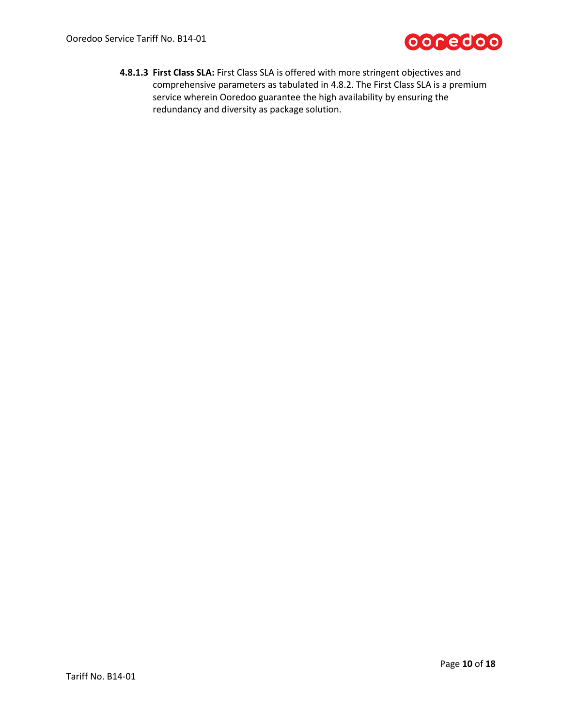

**4.8.1.3 First Class SLA:** First Class SLA is offered with more stringent objectives and comprehensive parameters as tabulated in 4.8.2. The First Class SLA is a premium service wherein Ooredoo guarantee the high availability by ensuring the redundancy and diversity as package solution.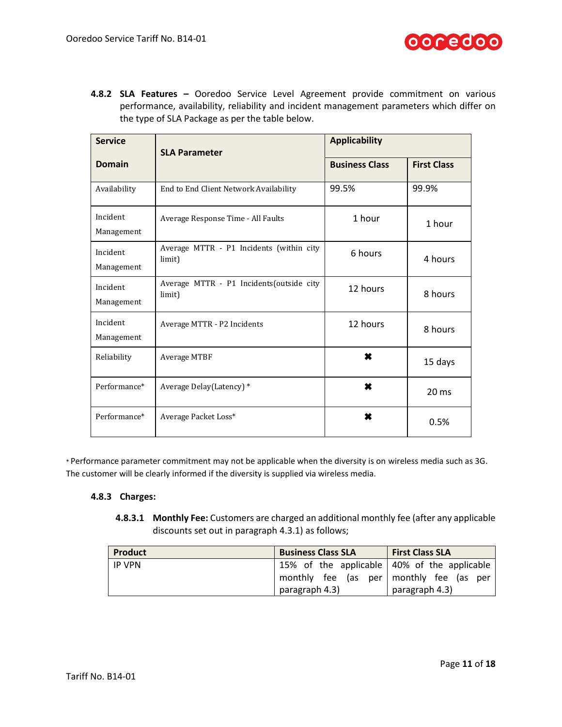

**4.8.2 SLA Features –** Ooredoo Service Level Agreement provide commitment on various performance, availability, reliability and incident management parameters which differ on the type of SLA Package as per the table below.

| <b>Service</b>         | <b>SLA Parameter</b>                               | <b>Applicability</b>  |                    |
|------------------------|----------------------------------------------------|-----------------------|--------------------|
| <b>Domain</b>          |                                                    | <b>Business Class</b> | <b>First Class</b> |
| Availability           | End to End Client Network Availability             | 99.5%                 | 99.9%              |
| Incident<br>Management | Average Response Time - All Faults                 | 1 hour                | 1 hour             |
| Incident<br>Management | Average MTTR - P1 Incidents (within city<br>limit) | 6 hours               | 4 hours            |
| Incident<br>Management | Average MTTR - P1 Incidents(outside city<br>limit) | 12 hours              | 8 hours            |
| Incident<br>Management | Average MTTR - P2 Incidents                        | 12 hours              | 8 hours            |
| Reliability            | Average MTBF                                       | ×                     | 15 days            |
| Performance*           | Average Delay(Latency) *                           | ×                     | 20 <sub>ms</sub>   |
| Performance*           | Average Packet Loss*                               | ×                     | 0.5%               |

\* Performance parameter commitment may not be applicable when the diversity is on wireless media such as 3G. The customer will be clearly informed if the diversity is supplied via wireless media.

# **4.8.3 Charges:**

**4.8.3.1 Monthly Fee:** Customers are charged an additional monthly fee (after any applicable discounts set out in paragraph 4.3.1) as follows;

| Product | <b>Business Class SLA</b>                   | <b>First Class SLA</b> |
|---------|---------------------------------------------|------------------------|
| IP VPN  | 15% of the applicable 40% of the applicable |                        |
|         | monthly fee (as per   monthly fee (as per   |                        |
|         | paragraph 4.3)                              | paragraph 4.3)         |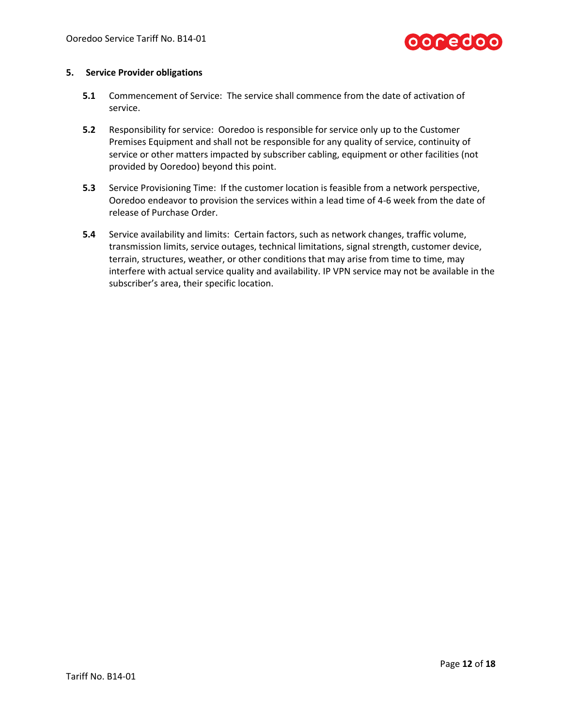

#### **5. Service Provider obligations**

- **5.1** Commencement of Service: The service shall commence from the date of activation of service.
- **5.2** Responsibility for service: Ooredoo is responsible for service only up to the Customer Premises Equipment and shall not be responsible for any quality of service, continuity of service or other matters impacted by subscriber cabling, equipment or other facilities (not provided by Ooredoo) beyond this point.
- **5.3** Service Provisioning Time: If the customer location is feasible from a network perspective, Ooredoo endeavor to provision the services within a lead time of 4-6 week from the date of release of Purchase Order.
- **5.4** Service availability and limits: Certain factors, such as network changes, traffic volume, transmission limits, service outages, technical limitations, signal strength, customer device, terrain, structures, weather, or other conditions that may arise from time to time, may interfere with actual service quality and availability. IP VPN service may not be available in the subscriber's area, their specific location.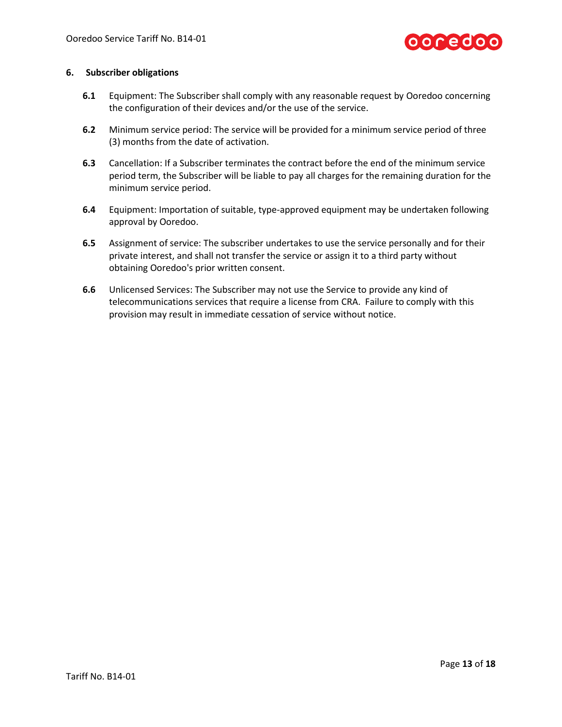

#### **6. Subscriber obligations**

- **6.1** Equipment: The Subscriber shall comply with any reasonable request by Ooredoo concerning the configuration of their devices and/or the use of the service.
- **6.2** Minimum service period: The service will be provided for a minimum service period of three (3) months from the date of activation.
- **6.3** Cancellation: If a Subscriber terminates the contract before the end of the minimum service period term, the Subscriber will be liable to pay all charges for the remaining duration for the minimum service period.
- **6.4** Equipment: Importation of suitable, type-approved equipment may be undertaken following approval by Ooredoo.
- **6.5** Assignment of service: The subscriber undertakes to use the service personally and for their private interest, and shall not transfer the service or assign it to a third party without obtaining Ooredoo's prior written consent.
- **6.6** Unlicensed Services: The Subscriber may not use the Service to provide any kind of telecommunications services that require a license from CRA. Failure to comply with this provision may result in immediate cessation of service without notice.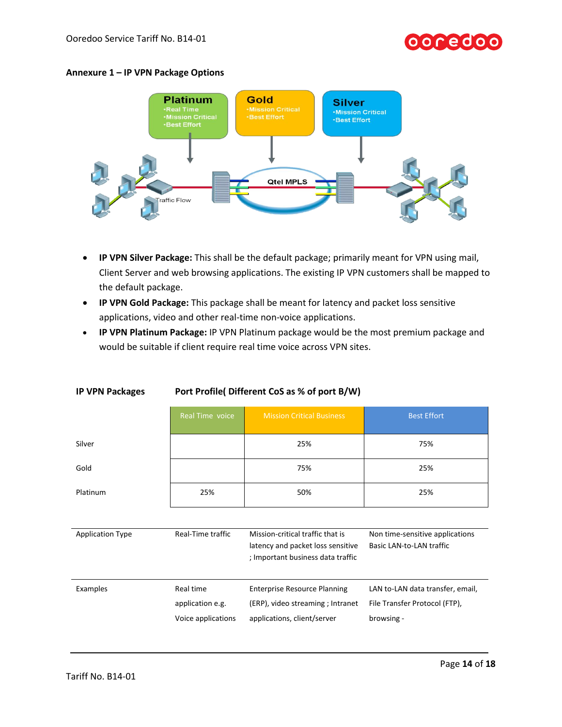# ooredoc





- **IP VPN Silver Package:** This shall be the default package; primarily meant for VPN using mail, Client Server and web browsing applications. The existing IP VPN customers shall be mapped to the default package.
- **IP VPN Gold Package:** This package shall be meant for latency and packet loss sensitive applications, video and other real-time non-voice applications.
- **IP VPN Platinum Package:** IP VPN Platinum package would be the most premium package and would be suitable if client require real time voice across VPN sites.

|                         | Real Time voice    | <b>Mission Critical Business</b>                                                                           | <b>Best Effort</b>                                          |
|-------------------------|--------------------|------------------------------------------------------------------------------------------------------------|-------------------------------------------------------------|
| Silver                  |                    | 25%                                                                                                        | 75%                                                         |
| Gold                    |                    | 75%                                                                                                        | 25%                                                         |
| Platinum                | 25%                | 50%                                                                                                        | 25%                                                         |
|                         |                    |                                                                                                            |                                                             |
| <b>Application Type</b> | Real-Time traffic  | Mission-critical traffic that is<br>latency and packet loss sensitive<br>; Important business data traffic | Non time-sensitive applications<br>Basic LAN-to-LAN traffic |
| Examples                | Real time          | <b>Enterprise Resource Planning</b>                                                                        | LAN to-LAN data transfer, email,                            |
|                         | application e.g.   | (ERP), video streaming ; Intranet                                                                          | File Transfer Protocol (FTP),                               |
|                         | Voice applications | applications, client/server                                                                                | browsing -                                                  |

# **IP VPN Packages Port Profile( Different CoS as % of port B/W)**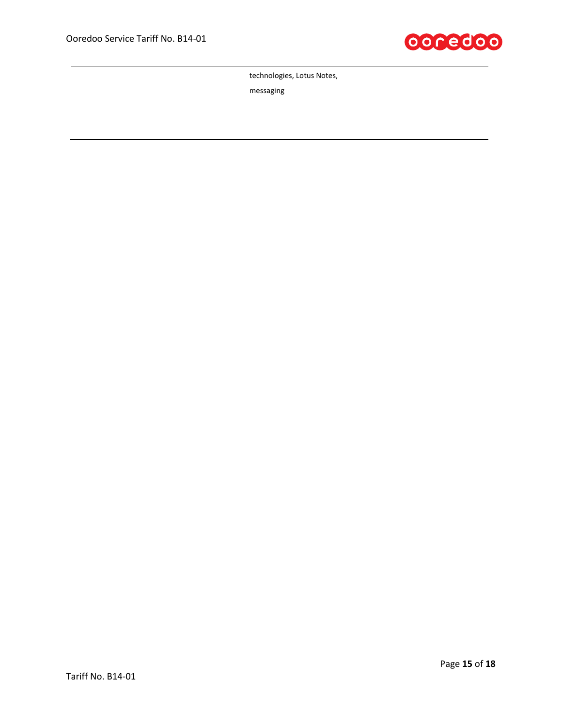

technologies, Lotus Notes,

messaging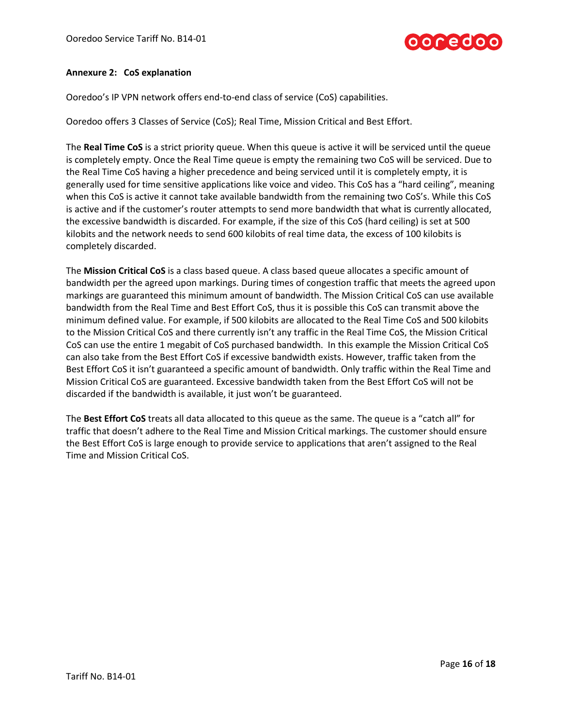

## **Annexure 2: CoS explanation**

Ooredoo's IP VPN network offers end-to-end class of service (CoS) capabilities.

Ooredoo offers 3 Classes of Service (CoS); Real Time, Mission Critical and Best Effort.

The **Real Time CoS** is a strict priority queue. When this queue is active it will be serviced until the queue is completely empty. Once the Real Time queue is empty the remaining two CoS will be serviced. Due to the Real Time CoS having a higher precedence and being serviced until it is completely empty, it is generally used for time sensitive applications like voice and video. This CoS has a "hard ceiling", meaning when this CoS is active it cannot take available bandwidth from the remaining two CoS's. While this CoS is active and if the customer's router attempts to send more bandwidth that what is currently allocated, the excessive bandwidth is discarded. For example, if the size of this CoS (hard ceiling) is set at 500 kilobits and the network needs to send 600 kilobits of real time data, the excess of 100 kilobits is completely discarded.

The **Mission Critical CoS** is a class based queue. A class based queue allocates a specific amount of bandwidth per the agreed upon markings. During times of congestion traffic that meets the agreed upon markings are guaranteed this minimum amount of bandwidth. The Mission Critical CoS can use available bandwidth from the Real Time and Best Effort CoS, thus it is possible this CoS can transmit above the minimum defined value. For example, if 500 kilobits are allocated to the Real Time CoS and 500 kilobits to the Mission Critical CoS and there currently isn't any traffic in the Real Time CoS, the Mission Critical CoS can use the entire 1 megabit of CoS purchased bandwidth. In this example the Mission Critical CoS can also take from the Best Effort CoS if excessive bandwidth exists. However, traffic taken from the Best Effort CoS it isn't guaranteed a specific amount of bandwidth. Only traffic within the Real Time and Mission Critical CoS are guaranteed. Excessive bandwidth taken from the Best Effort CoS will not be discarded if the bandwidth is available, it just won't be guaranteed.

The **Best Effort CoS** treats all data allocated to this queue as the same. The queue is a "catch all" for traffic that doesn't adhere to the Real Time and Mission Critical markings. The customer should ensure the Best Effort CoS is large enough to provide service to applications that aren't assigned to the Real Time and Mission Critical CoS.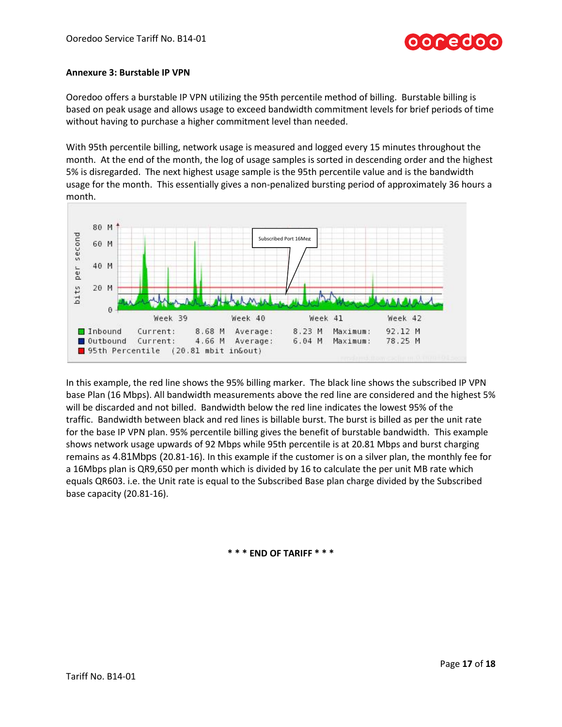## **Annexure 3: Burstable IP VPN**

Ooredoo offers a burstable IP VPN utilizing the 95th percentile method of billing. Burstable billing is based on peak usage and allows usage to exceed bandwidth commitment levels for brief periods of time without having to purchase a higher commitment level than needed.

With 95th percentile billing, network usage is measured and logged every 15 minutes throughout the month. At the end of the month, the log of usage samples is sorted in descending order and the highest 5% is disregarded. The next highest usage sample is the 95th percentile value and is the bandwidth usage for the month. This essentially gives a non-penalized bursting period of approximately 36 hours a month.



In this example, the red line shows the 95% billing marker. The black line shows the subscribed IP VPN base Plan (16 Mbps). All bandwidth measurements above the red line are considered and the highest 5% will be discarded and not billed. Bandwidth below the red line indicates the lowest 95% of the traffic. Bandwidth between black and red lines is billable burst. The burst is billed as per the unit rate for the base IP VPN plan. 95% percentile billing gives the benefit of burstable bandwidth. This example shows network usage upwards of 92 Mbps while 95th percentile is at 20.81 Mbps and burst charging remains as 4.81Mbps (20.81-16). In this example if the customer is on a silver plan, the monthly fee for a 16Mbps plan is QR9,650 per month which is divided by 16 to calculate the per unit MB rate which equals QR603. i.e. the Unit rate is equal to the Subscribed Base plan charge divided by the Subscribed base capacity (20.81-16).

**\* \* \* END OF TARIFF \* \* \***